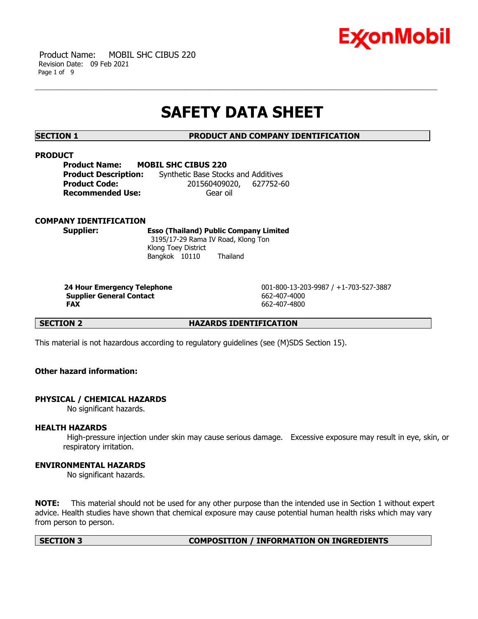

 Product Name: MOBIL SHC CIBUS 220 Revision Date: 09 Feb 2021 Page 1 of 9

# **SAFETY DATA SHEET**

**SECTION 1 PRODUCT AND COMPANY IDENTIFICATION**

### **PRODUCT**

| <b>Product Name:</b>        | <b>MOBIL SHC CIBUS 220</b>          |  |
|-----------------------------|-------------------------------------|--|
| <b>Product Description:</b> | Synthetic Base Stocks and Additives |  |
| <b>Product Code:</b>        | 201560409020, 627752-60             |  |
| <b>Recommended Use:</b>     | Gear oil                            |  |

### **COMPANY IDENTIFICATION**

**Supplier: Esso (Thailand) Public Company Limited** 3195/17-29 Rama IV Road, Klong Ton Klong Toey District Bangkok 10110 Thailand

**Supplier General Contact** 662-407-4000 **FAX** 662-407-4800

 **24 Hour Emergency Telephone** 001-800-13-203-9987 / +1-703-527-3887

**SECTION 2 HAZARDS IDENTIFICATION** 

This material is not hazardous according to regulatory guidelines (see (M)SDS Section 15).

# **Other hazard information:**

### **PHYSICAL / CHEMICAL HAZARDS**

No significant hazards.

### **HEALTH HAZARDS**

 High-pressure injection under skin may cause serious damage. Excessive exposure may result in eye, skin, or respiratory irritation.

# **ENVIRONMENTAL HAZARDS**

No significant hazards.

**NOTE:** This material should not be used for any other purpose than the intended use in Section 1 without expert advice. Health studies have shown that chemical exposure may cause potential human health risks which may vary from person to person.

#### **SECTION 3 COMPOSITION / INFORMATION ON INGREDIENTS**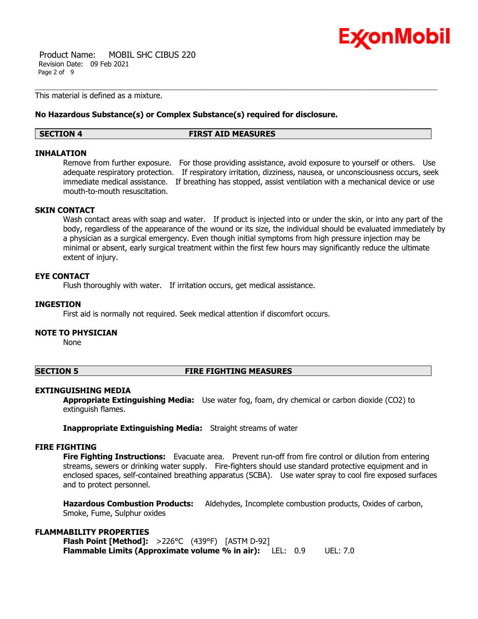

 Product Name: MOBIL SHC CIBUS 220 Revision Date: 09 Feb 2021 Page 2 of 9

This material is defined as a mixture.

### **No Hazardous Substance(s) or Complex Substance(s) required for disclosure.**

#### **SECTION 4 FIRST AID MEASURES**

### **INHALATION**

Remove from further exposure. For those providing assistance, avoid exposure to yourself or others. Use adequate respiratory protection. If respiratory irritation, dizziness, nausea, or unconsciousness occurs, seek immediate medical assistance. If breathing has stopped, assist ventilation with a mechanical device or use mouth-to-mouth resuscitation.

# **SKIN CONTACT**

Wash contact areas with soap and water. If product is injected into or under the skin, or into any part of the body, regardless of the appearance of the wound or its size, the individual should be evaluated immediately by a physician as a surgical emergency. Even though initial symptoms from high pressure injection may be minimal or absent, early surgical treatment within the first few hours may significantly reduce the ultimate extent of injury.

# **EYE CONTACT**

Flush thoroughly with water. If irritation occurs, get medical assistance.

# **INGESTION**

First aid is normally not required. Seek medical attention if discomfort occurs.

# **NOTE TO PHYSICIAN**

None

### **SECTION 5 FIRE FIGHTING MEASURES**

### **EXTINGUISHING MEDIA**

**Appropriate Extinguishing Media:** Use water fog, foam, dry chemical or carbon dioxide (CO2) to extinguish flames.

**Inappropriate Extinguishing Media:** Straight streams of water

### **FIRE FIGHTING**

**Fire Fighting Instructions:** Evacuate area. Prevent run-off from fire control or dilution from entering streams, sewers or drinking water supply. Fire-fighters should use standard protective equipment and in enclosed spaces, self-contained breathing apparatus (SCBA). Use water spray to cool fire exposed surfaces and to protect personnel.

**Hazardous Combustion Products:** Aldehydes, Incomplete combustion products, Oxides of carbon, Smoke, Fume, Sulphur oxides

# **FLAMMABILITY PROPERTIES**

**Flash Point [Method]:** >226°C (439°F) [ASTM D-92] **Flammable Limits (Approximate volume % in air):** LEL: 0.9 UEL: 7.0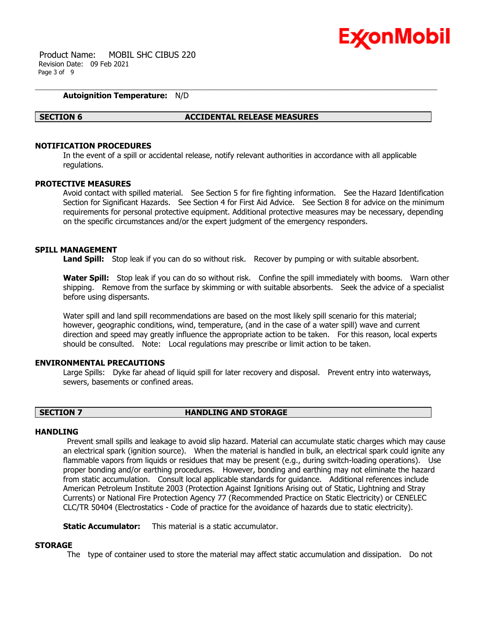

 Product Name: MOBIL SHC CIBUS 220 Revision Date: 09 Feb 2021 Page 3 of 9

### **Autoignition Temperature:** N/D

#### **SECTION 6 ACCIDENTAL RELEASE MEASURES**

# **NOTIFICATION PROCEDURES**

In the event of a spill or accidental release, notify relevant authorities in accordance with all applicable regulations.

#### **PROTECTIVE MEASURES**

Avoid contact with spilled material. See Section 5 for fire fighting information. See the Hazard Identification Section for Significant Hazards. See Section 4 for First Aid Advice. See Section 8 for advice on the minimum requirements for personal protective equipment. Additional protective measures may be necessary, depending on the specific circumstances and/or the expert judgment of the emergency responders.

#### **SPILL MANAGEMENT**

Land Spill: Stop leak if you can do so without risk. Recover by pumping or with suitable absorbent.

**Water Spill:** Stop leak if you can do so without risk. Confine the spill immediately with booms. Warn other shipping. Remove from the surface by skimming or with suitable absorbents. Seek the advice of a specialist before using dispersants.

Water spill and land spill recommendations are based on the most likely spill scenario for this material; however, geographic conditions, wind, temperature, (and in the case of a water spill) wave and current direction and speed may greatly influence the appropriate action to be taken. For this reason, local experts should be consulted. Note: Local regulations may prescribe or limit action to be taken.

#### **ENVIRONMENTAL PRECAUTIONS**

Large Spills: Dyke far ahead of liquid spill for later recovery and disposal. Prevent entry into waterways, sewers, basements or confined areas.

# **SECTION 7 HANDLING AND STORAGE**

#### **HANDI TNG**

 Prevent small spills and leakage to avoid slip hazard. Material can accumulate static charges which may cause an electrical spark (ignition source). When the material is handled in bulk, an electrical spark could ignite any flammable vapors from liquids or residues that may be present (e.g., during switch-loading operations). Use proper bonding and/or earthing procedures. However, bonding and earthing may not eliminate the hazard from static accumulation. Consult local applicable standards for guidance. Additional references include American Petroleum Institute 2003 (Protection Against Ignitions Arising out of Static, Lightning and Stray Currents) or National Fire Protection Agency 77 (Recommended Practice on Static Electricity) or CENELEC CLC/TR 50404 (Electrostatics - Code of practice for the avoidance of hazards due to static electricity).

**Static Accumulator:** This material is a static accumulator.

#### **STORAGE**

The type of container used to store the material may affect static accumulation and dissipation. Do not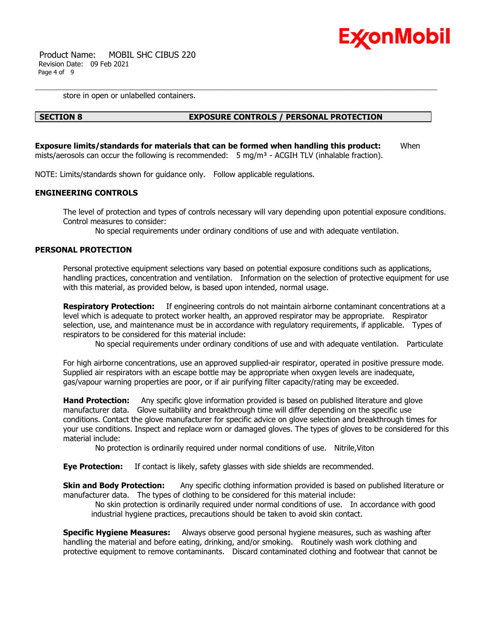

 Product Name: MOBIL SHC CIBUS 220 Revision Date: 09 Feb 2021 Page 4 of 9

store in open or unlabelled containers.

# **SECTION 8 EXPOSURE CONTROLS / PERSONAL PROTECTION**

**Exposure limits/standards for materials that can be formed when handling this product:** When mists/aerosols can occur the following is recommended:  $5 \text{ mg/m}^3$  - ACGIH TLV (inhalable fraction).

NOTE: Limits/standards shown for guidance only. Follow applicable regulations.

# **ENGINEERING CONTROLS**

The level of protection and types of controls necessary will vary depending upon potential exposure conditions. Control measures to consider:

No special requirements under ordinary conditions of use and with adequate ventilation.

### **PERSONAL PROTECTION**

Personal protective equipment selections vary based on potential exposure conditions such as applications, handling practices, concentration and ventilation. Information on the selection of protective equipment for use with this material, as provided below, is based upon intended, normal usage.

**Respiratory Protection:** If engineering controls do not maintain airborne contaminant concentrations at a level which is adequate to protect worker health, an approved respirator may be appropriate. Respirator selection, use, and maintenance must be in accordance with regulatory requirements, if applicable. Types of respirators to be considered for this material include:

No special requirements under ordinary conditions of use and with adequate ventilation. Particulate

For high airborne concentrations, use an approved supplied-air respirator, operated in positive pressure mode. Supplied air respirators with an escape bottle may be appropriate when oxygen levels are inadequate, gas/vapour warning properties are poor, or if air purifying filter capacity/rating may be exceeded.

**Hand Protection:** Any specific glove information provided is based on published literature and glove manufacturer data. Glove suitability and breakthrough time will differ depending on the specific use conditions. Contact the glove manufacturer for specific advice on glove selection and breakthrough times for your use conditions. Inspect and replace worn or damaged gloves. The types of gloves to be considered for this material include:

No protection is ordinarily required under normal conditions of use. Nitrile,Viton

**Eye Protection:** If contact is likely, safety glasses with side shields are recommended.

**Skin and Body Protection:** Any specific clothing information provided is based on published literature or manufacturer data. The types of clothing to be considered for this material include:

 No skin protection is ordinarily required under normal conditions of use. In accordance with good industrial hygiene practices, precautions should be taken to avoid skin contact.

**Specific Hygiene Measures:** Always observe good personal hygiene measures, such as washing after handling the material and before eating, drinking, and/or smoking. Routinely wash work clothing and protective equipment to remove contaminants. Discard contaminated clothing and footwear that cannot be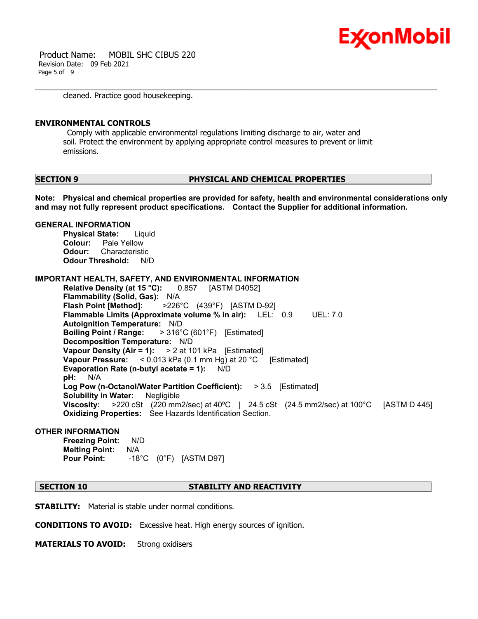

 Product Name: MOBIL SHC CIBUS 220 Revision Date: 09 Feb 2021 Page 5 of 9

cleaned. Practice good housekeeping.

#### **ENVIRONMENTAL CONTROLS**

 Comply with applicable environmental regulations limiting discharge to air, water and soil. Protect the environment by applying appropriate control measures to prevent or limit emissions.

#### **SECTION 9 PHYSICAL AND CHEMICAL PROPERTIES**

**Note: Physical and chemical properties are provided for safety, health and environmental considerations only and may not fully represent product specifications. Contact the Supplier for additional information.**

#### **GENERAL INFORMATION**

**Physical State:** Liquid **Colour:** Pale Yellow **Odour:** Characteristic **Odour Threshold:** N/D

**IMPORTANT HEALTH, SAFETY, AND ENVIRONMENTAL INFORMATION**

**Relative Density (at 15 °C):** 0.857 [ASTM D4052] **Flammability (Solid, Gas):** N/A **Flash Point [Method]:** >226°C (439°F) [ASTM D-92] **Flammable Limits (Approximate volume % in air):** LEL: 0.9 UEL: 7.0 **Autoignition Temperature:** N/D **Boiling Point / Range:** > 316°C (601°F) [Estimated] **Decomposition Temperature:** N/D **Vapour Density (Air = 1):** > 2 at 101 kPa [Estimated] **Vapour Pressure:** < 0.013 kPa (0.1 mm Hg) at 20 °C [Estimated] **Evaporation Rate (n-butyl acetate = 1):** N/D **pH:** N/A **Log Pow (n-Octanol/Water Partition Coefficient):** > 3.5 [Estimated] **Solubility in Water:** Negligible **Viscosity:** >220 cSt (220 mm2/sec) at 40ºC | 24.5 cSt (24.5 mm2/sec) at 100°C [ASTM D 445] **Oxidizing Properties:** See Hazards Identification Section.

#### **OTHER INFORMATION**

**Freezing Point:** N/D **Melting Point:** N/A **Pour Point:** -18°C (0°F) [ASTM D97]

# **SECTION 10 STABILITY AND REACTIVITY**

**STABILITY:** Material is stable under normal conditions.

**CONDITIONS TO AVOID:** Excessive heat. High energy sources of ignition.

**MATERIALS TO AVOID:** Strong oxidisers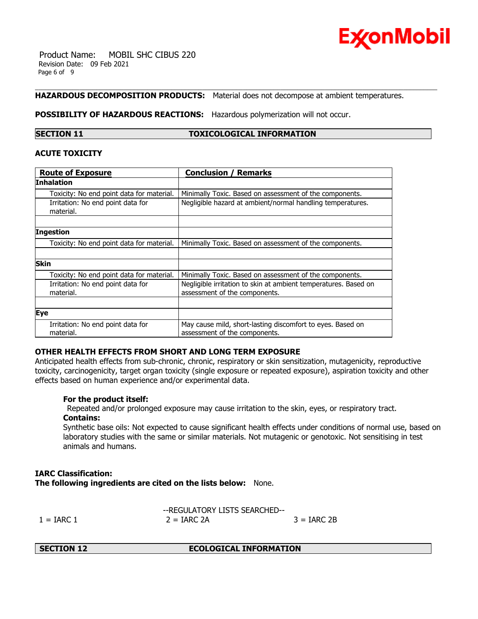

 Product Name: MOBIL SHC CIBUS 220 Revision Date: 09 Feb 2021 Page 6 of 9

# **HAZARDOUS DECOMPOSITION PRODUCTS:** Material does not decompose at ambient temperatures.

#### **POSSIBILITY OF HAZARDOUS REACTIONS:** Hazardous polymerization will not occur.

### **SECTION 11 TOXICOLOGICAL INFORMATION**

### **ACUTE TOXICITY**

| <b>Route of Exposure</b>                       | <b>Conclusion / Remarks</b>                                                                      |  |
|------------------------------------------------|--------------------------------------------------------------------------------------------------|--|
| Inhalation                                     |                                                                                                  |  |
| Toxicity: No end point data for material.      | Minimally Toxic. Based on assessment of the components.                                          |  |
| Irritation: No end point data for<br>material. | Negligible hazard at ambient/normal handling temperatures.                                       |  |
|                                                |                                                                                                  |  |
| <b>Ingestion</b>                               |                                                                                                  |  |
| Toxicity: No end point data for material.      | Minimally Toxic. Based on assessment of the components.                                          |  |
|                                                |                                                                                                  |  |
| <b>Skin</b>                                    |                                                                                                  |  |
| Toxicity: No end point data for material.      | Minimally Toxic. Based on assessment of the components.                                          |  |
| Irritation: No end point data for<br>material. | Negligible irritation to skin at ambient temperatures. Based on<br>assessment of the components. |  |
|                                                |                                                                                                  |  |
| Eye                                            |                                                                                                  |  |
| Irritation: No end point data for<br>material. | May cause mild, short-lasting discomfort to eyes. Based on<br>assessment of the components.      |  |

### **OTHER HEALTH EFFECTS FROM SHORT AND LONG TERM EXPOSURE**

Anticipated health effects from sub-chronic, chronic, respiratory or skin sensitization, mutagenicity, reproductive toxicity, carcinogenicity, target organ toxicity (single exposure or repeated exposure), aspiration toxicity and other effects based on human experience and/or experimental data.

### **For the product itself:**

 Repeated and/or prolonged exposure may cause irritation to the skin, eyes, or respiratory tract. **Contains:**

Synthetic base oils: Not expected to cause significant health effects under conditions of normal use, based on laboratory studies with the same or similar materials. Not mutagenic or genotoxic. Not sensitising in test animals and humans.

# **IARC Classification: The following ingredients are cited on the lists below:** None.

--REGULATORY LISTS SEARCHED--  $1 = \text{IARC } 1$   $2 = \text{IARC } 2\text{A}$   $3 = \text{IARC } 2\text{B}$ 

**SECTION 12 ECOLOGICAL INFORMATION**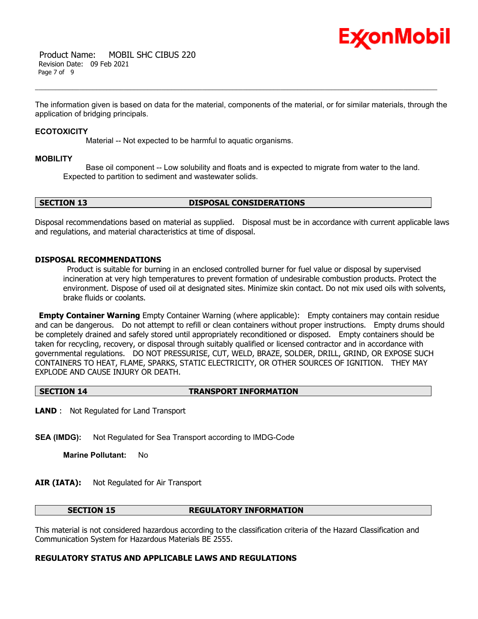

 Product Name: MOBIL SHC CIBUS 220 Revision Date: 09 Feb 2021 Page 7 of 9

The information given is based on data for the material, components of the material, or for similar materials, through the application of bridging principals.

#### **ECOTOXICITY**

Material -- Not expected to be harmful to aquatic organisms.

#### **MOBILITY**

 Base oil component -- Low solubility and floats and is expected to migrate from water to the land. Expected to partition to sediment and wastewater solids.

# **SECTION 13 DISPOSAL CONSIDERATIONS**

Disposal recommendations based on material as supplied. Disposal must be in accordance with current applicable laws and regulations, and material characteristics at time of disposal.

### **DISPOSAL RECOMMENDATIONS**

 Product is suitable for burning in an enclosed controlled burner for fuel value or disposal by supervised incineration at very high temperatures to prevent formation of undesirable combustion products. Protect the environment. Dispose of used oil at designated sites. Minimize skin contact. Do not mix used oils with solvents, brake fluids or coolants.

**Empty Container Warning** Empty Container Warning (where applicable): Empty containers may contain residue and can be dangerous. Do not attempt to refill or clean containers without proper instructions. Empty drums should be completely drained and safely stored until appropriately reconditioned or disposed. Empty containers should be taken for recycling, recovery, or disposal through suitably qualified or licensed contractor and in accordance with governmental regulations. DO NOT PRESSURISE, CUT, WELD, BRAZE, SOLDER, DRILL, GRIND, OR EXPOSE SUCH CONTAINERS TO HEAT, FLAME, SPARKS, STATIC ELECTRICITY, OR OTHER SOURCES OF IGNITION. THEY MAY EXPLODE AND CAUSE INJURY OR DEATH.

#### **SECTION 14 TRANSPORT INFORMATION**

**LAND** : Not Regulated for Land Transport

**SEA (IMDG):** Not Regulated for Sea Transport according to IMDG-Code

**Marine Pollutant:** No

### **AIR (IATA):** Not Regulated for Air Transport

#### **SECTION 15 REGULATORY INFORMATION**

This material is not considered hazardous according to the classification criteria of the Hazard Classification and Communication System for Hazardous Materials BE 2555.

### **REGULATORY STATUS AND APPLICABLE LAWS AND REGULATIONS**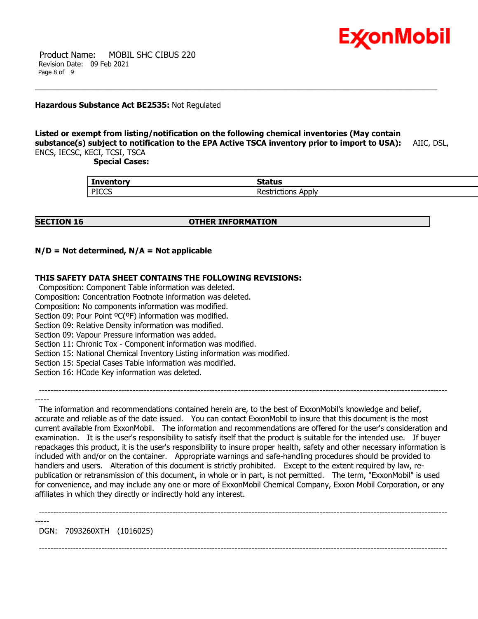

 Product Name: MOBIL SHC CIBUS 220 Revision Date: 09 Feb 2021 Page 8 of 9

### **Hazardous Substance Act BE2535:** Not Regulated

### **Listed or exempt from listing/notification on the following chemical inventories (May contain substance(s) subject to notification to the EPA Active TSCA inventory prior to import to USA):** AIIC, DSL, ENCS, IECSC, KECI, TCSI, TSCA

 **Special Cases:**

| <b>Inventory</b> | <b>Status</b>          |
|------------------|------------------------|
| <b>PICCS</b>     | . .<br>-<br>Applv<br>. |

### **SECTION 16 OTHER INFORMATION**

# **N/D = Not determined, N/A = Not applicable**

# **THIS SAFETY DATA SHEET CONTAINS THE FOLLOWING REVISIONS:**

 Composition: Component Table information was deleted. Composition: Concentration Footnote information was deleted.

Composition: No components information was modified.

Section 09: Pour Point <sup>o</sup>C(°F) information was modified.

Section 09: Relative Density information was modified.

Section 09: Vapour Pressure information was added.

Section 11: Chronic Tox - Component information was modified.

Section 15: National Chemical Inventory Listing information was modified.

Section 15: Special Cases Table information was modified.

Section 16: HCode Key information was deleted.

-----

-----

 The information and recommendations contained herein are, to the best of ExxonMobil's knowledge and belief, accurate and reliable as of the date issued. You can contact ExxonMobil to insure that this document is the most current available from ExxonMobil. The information and recommendations are offered for the user's consideration and examination. It is the user's responsibility to satisfy itself that the product is suitable for the intended use. If buyer repackages this product, it is the user's responsibility to insure proper health, safety and other necessary information is included with and/or on the container. Appropriate warnings and safe-handling procedures should be provided to handlers and users. Alteration of this document is strictly prohibited. Except to the extent required by law, republication or retransmission of this document, in whole or in part, is not permitted. The term, "ExxonMobil" is used for convenience, and may include any one or more of ExxonMobil Chemical Company, Exxon Mobil Corporation, or any affiliates in which they directly or indirectly hold any interest.

------------------------------------------------------------------------------------------------------------------------------------------------

------------------------------------------------------------------------------------------------------------------------------------------------

DGN: 7093260XTH (1016025)

------------------------------------------------------------------------------------------------------------------------------------------------